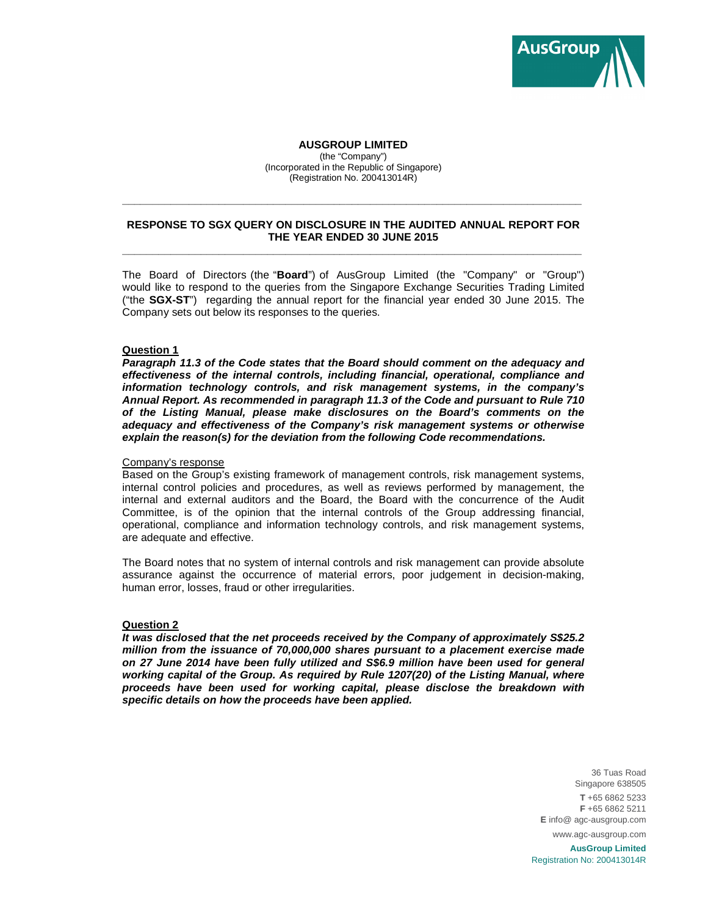

## **AUSGROUP LIMITED**

(the "Company") (Incorporated in the Republic of Singapore) (Registration No. 200413014R)

## **RESPONSE TO SGX QUERY ON DISCLOSURE IN THE AUDITED ANNUAL REPORT FOR THE YEAR ENDED 30 JUNE 2015 \_\_\_\_\_\_\_\_\_\_\_\_\_\_\_\_\_\_\_\_\_\_\_\_\_\_\_\_\_\_\_\_\_\_\_\_\_\_\_\_\_\_\_\_\_\_\_\_\_\_\_\_\_\_\_\_\_\_\_\_\_\_\_\_\_\_\_\_\_\_\_\_\_\_\_\_**

**\_\_\_\_\_\_\_\_\_\_\_\_\_\_\_\_\_\_\_\_\_\_\_\_\_\_\_\_\_\_\_\_\_\_\_\_\_\_\_\_\_\_\_\_\_\_\_\_\_\_\_\_\_\_\_\_\_\_\_\_\_\_\_\_\_\_\_\_\_\_\_\_\_\_\_\_** 

The Board of Directors (the "**Board**") of AusGroup Limited (the "Company" or "Group") would like to respond to the queries from the Singapore Exchange Securities Trading Limited ("the **SGX-ST**") regarding the annual report for the financial year ended 30 June 2015. The Company sets out below its responses to the queries.

## **Question 1**

**Paragraph 11.3 of the Code states that the Board should comment on the adequacy and effectiveness of the internal controls, including financial, operational, compliance and information technology controls, and risk management systems, in the company's Annual Report. As recommended in paragraph 11.3 of the Code and pursuant to Rule 710 of the Listing Manual, please make disclosures on the Board's comments on the adequacy and effectiveness of the Company's risk management systems or otherwise explain the reason(s) for the deviation from the following Code recommendations.** 

### Company's response

Based on the Group's existing framework of management controls, risk management systems, internal control policies and procedures, as well as reviews performed by management, the internal and external auditors and the Board, the Board with the concurrence of the Audit Committee, is of the opinion that the internal controls of the Group addressing financial, operational, compliance and information technology controls, and risk management systems, are adequate and effective.

The Board notes that no system of internal controls and risk management can provide absolute assurance against the occurrence of material errors, poor judgement in decision-making, human error, losses, fraud or other irregularities.

#### **Question 2**

**It was disclosed that the net proceeds received by the Company of approximately S\$25.2 million from the issuance of 70,000,000 shares pursuant to a placement exercise made on 27 June 2014 have been fully utilized and S\$6.9 million have been used for general working capital of the Group. As required by Rule 1207(20) of the Listing Manual, where proceeds have been used for working capital, please disclose the breakdown with specific details on how the proceeds have been applied.** 

> 36 Tuas Road Singapore 638505 **T** +65 6862 5233 **F** +65 6862 5211 **E** info@ agc-ausgroup.com www.agc-ausgroup.com

**AusGroup Limited** Registration No: 200413014R